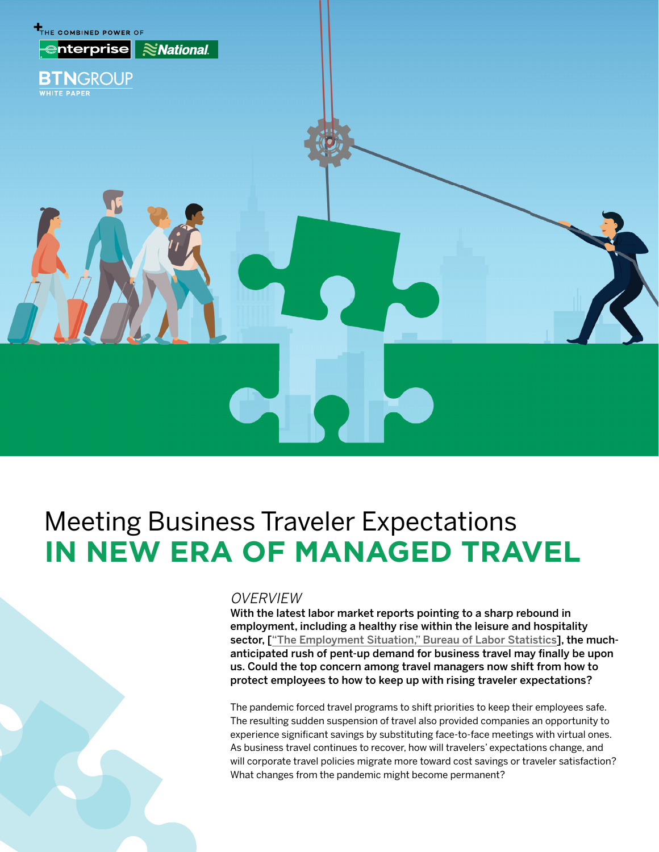

# Meeting Business Traveler Expectations **IN NEW ERA OF MANAGED TRAVEL**

### **OVERVIEW**

With the latest labor market reports pointing to a sharp rebound in employment, including a healthy rise within the leisure and hospitality sector, [["The Employment Situation," Bureau of Labor Statistics](https://www.bls.gov/news.release/empsit.nr0.htm)], the muchanticipated rush of pent-up demand for business travel may finally be upon us. Could the top concern among travel managers now shift from how to protect employees to how to keep up with rising traveler expectations?

The pandemic forced travel programs to shift priorities to keep their employees safe. The resulting sudden suspension of travel also provided companies an opportunity to experience significant savings by substituting face-to-face meetings with virtual ones. As business travel continues to recover, how will travelers' expectations change, and will corporate travel policies migrate more toward cost savings or traveler satisfaction? What changes from the pandemic might become permanent?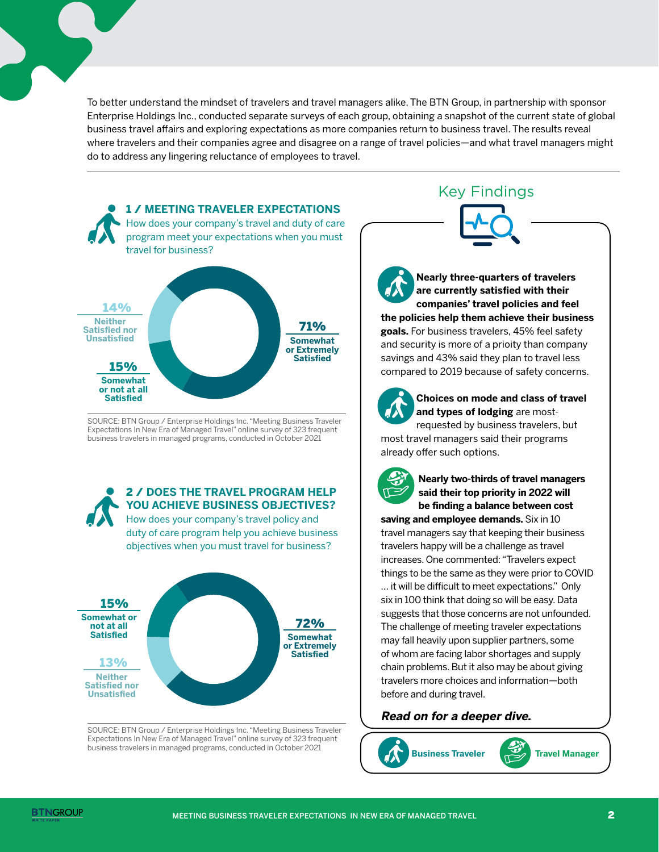To better understand the mindset of travelers and travel managers alike, The BTN Group, in partnership with sponsor Enterprise Holdings Inc., conducted separate surveys of each group, obtaining a snapshot of the current state of global business travel affairs and exploring expectations as more companies return to business travel. The results reveal where travelers and their companies agree and disagree on a range of travel policies—and what travel managers might do to address any lingering reluctance of employees to travel.



SOURCE: BTN Group / Enterprise Holdings Inc. "Meeting Business Traveler Expectations In New Era of Managed Travel" online survey of 323 frequent business travelers in managed programs, conducted in October 2021



duty of care program help you achieve business objectives when you must travel for business?



SOURCE: BTN Group / Enterprise Holdings Inc. "Meeting Business Traveler Expectations In New Era of Managed Travel" online survey of 323 frequent business travelers in managed programs, conducted in October 2021

Key Findings

**Nearly three-quarters of travelers are currently satisfied with their companies' travel policies and feel the policies help them achieve their business goals.** For business travelers, 45% feel safety and security is more of a prioity than company savings and 43% said they plan to travel less compared to 2019 because of safety concerns.



**Choices on mode and class of travel and types of lodging** are mostrequested by business travelers, but

most travel managers said their programs already offer such options.



**Nearly two-thirds of travel managers said their top priority in 2022 will be finding a balance between cost** 

**saving and employee demands.** Six in 10 travel managers say that keeping their business travelers happy will be a challenge as travel increases. One commented: "Travelers expect things to be the same as they were prior to COVID … it will be difficult to meet expectations." Only six in 100 think that doing so will be easy. Data suggests that those concerns are not unfounded. The challenge of meeting traveler expectations may fall heavily upon supplier partners, some of whom are facing labor shortages and supply chain problems. But it also may be about giving travelers more choices and information—both before and during travel.

# **Read on for a deeper dive.**



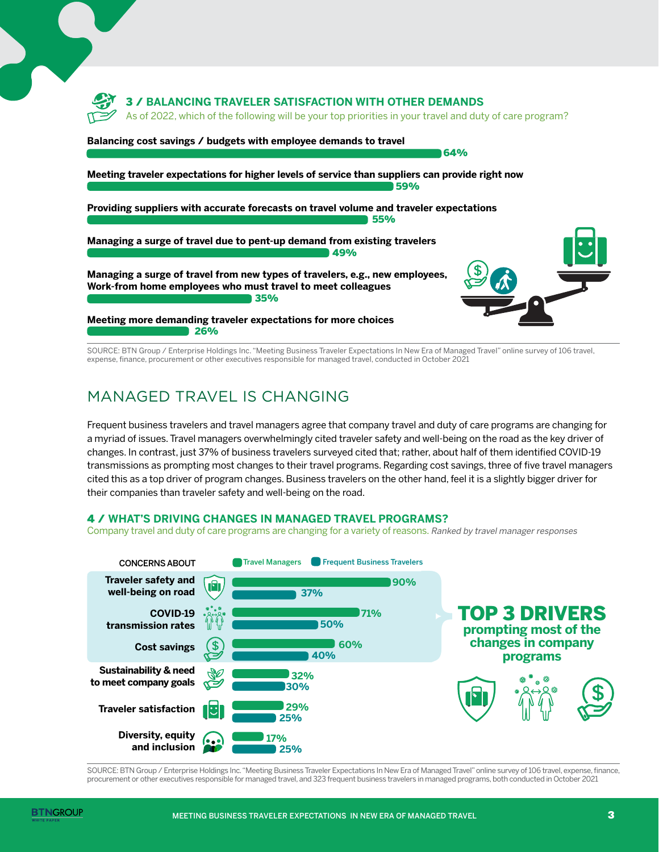

SOURCE: BTN Group / Enterprise Holdings Inc. "Meeting Business Traveler Expectations In New Era of Managed Travel" online survey of 106 travel, expense, finance, procurement or other executives responsible for managed travel, conducted in October 2021

# MANAGED TRAVEL IS CHANGING

Frequent business travelers and travel managers agree that company travel and duty of care programs are changing for a myriad of issues. Travel managers overwhelmingly cited traveler safety and well-being on the road as the key driver of changes. In contrast, just 37% of business travelers surveyed cited that; rather, about half of them identified COVID-19 transmissions as prompting most changes to their travel programs. Regarding cost savings, three of five travel managers cited this as a top driver of program changes. Business travelers on the other hand, feel it is a slightly bigger driver for their companies than traveler safety and well-being on the road.

### 4 / **WHAT'S DRIVING CHANGES IN MANAGED TRAVEL PROGRAMS?**

Company travel and duty of care programs are changing for a variety of reasons. Ranked by travel manager responses



SOURCE: BTN Group / Enterprise Holdings Inc. "Meeting Business Traveler Expectations In New Era of Managed Travel" online survey of 106 travel, expense, finance, procurement or other executives responsible for managed travel, and 323 frequent business travelers in managed programs, both conducted in October 2021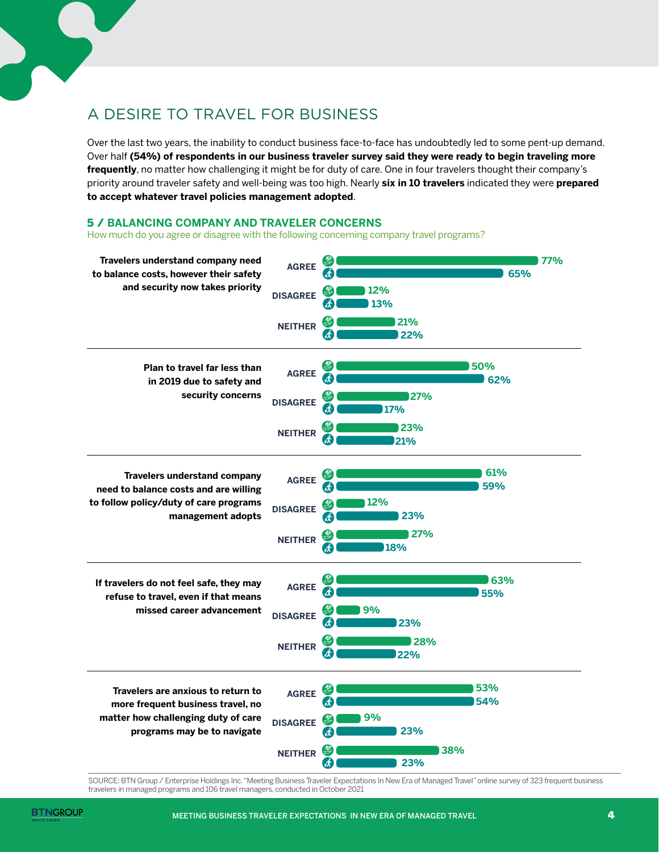

Over the last two years, the inability to conduct business face-to-face has undoubtedly led to some pent-up demand. Over half **(54%) of respondents in our business traveler survey said they were ready to begin traveling more frequently**, no matter how challenging it might be for duty of care. One in four travelers thought their company's priority around traveler safety and well-being was too high. Nearly **six in 10 travelers** indicated they were **prepared to accept whatever travel policies management adopted**.

### 5 / **BALANCING COMPANY AND TRAVELER CONCERNS**

How much do you agree or disagree with the following concerning company travel programs?



SOURCE: BTN Group / Enterprise Holdings Inc. "Meeting Business Traveler Expectations In New Era of Managed Travel" online survey of 323 frequent business travelers in managed programs and 106 travel managers, conducted in October 2021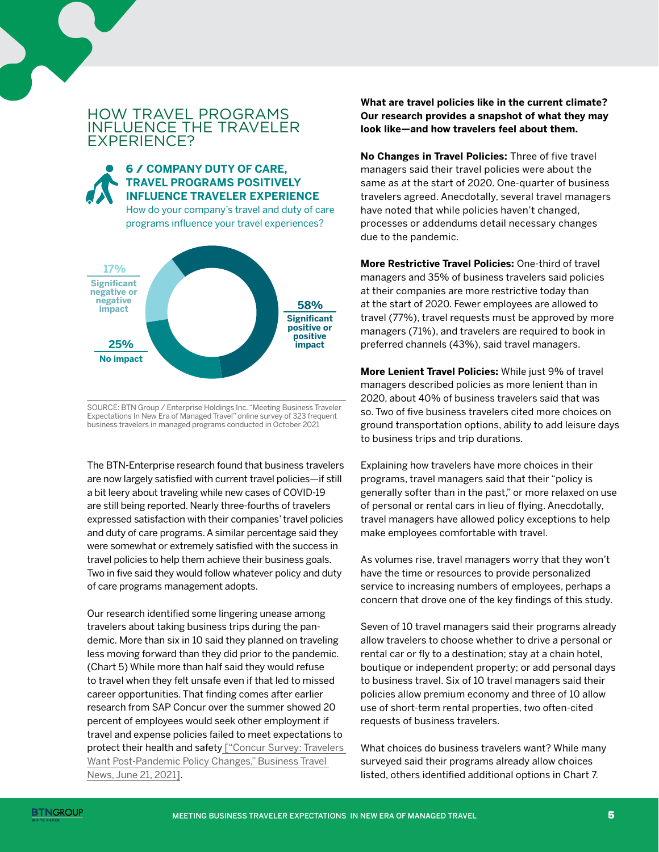## HOW TRAVEL PROGRAMS INFLUENCE THE TRAVELER EXPERIENCE?

### 6 / **COMPANY DUTY OF CARE, TRAVEL PROGRAMS POSITIVELY INFLUENCE TRAVELER EXPERIENCE**

How do your company's travel and duty of care programs influence your travel experiences?



SOURCE: BTN Group / Enterprise Holdings Inc. "Meeting Business Traveler Expectations In New Era of Managed Travel" online survey of 323 frequent business travelers in managed programs conducted in October 2021

The BTN-Enterprise research found that business travelers are now largely satisfied with current travel policies—if still a bit leery about traveling while new cases of COVID-19 are still being reported. Nearly three-fourths of travelers expressed satisfaction with their companies' travel policies and duty of care programs. A similar percentage said they were somewhat or extremely satisfied with the success in travel policies to help them achieve their business goals. Two in five said they would follow whatever policy and duty of care programs management adopts.

Our research identified some lingering unease among travelers about taking business trips during the pandemic. More than six in 10 said they planned on traveling less moving forward than they did prior to the pandemic. (Chart 5) While more than half said they would refuse to travel when they felt unsafe even if that led to missed career opportunities. That finding comes after earlier research from SAP Concur over the summer showed 20 percent of employees would seek other employment if travel and expense policies failed to meet expectations to protect their health and safety ["Concur Survey: Travelers [Want Post-Pandemic Policy Changes," Business Travel](https://www.businesstravelnews.com/Management/Concur-Survey-Travelers-Want-Post-Pandemic-Policy-Changes)  [News, June 21, 2021\].](https://www.businesstravelnews.com/Management/Concur-Survey-Travelers-Want-Post-Pandemic-Policy-Changes)

**What are travel policies like in the current climate? Our research provides a snapshot of what they may look like—and how travelers feel about them.** 

**No Changes in Travel Policies:** Three of five travel managers said their travel policies were about the same as at the start of 2020. One-quarter of business travelers agreed. Anecdotally, several travel managers have noted that while policies haven't changed, processes or addendums detail necessary changes due to the pandemic.

**More Restrictive Travel Policies:** One-third of travel managers and 35% of business travelers said policies at their companies are more restrictive today than at the start of 2020. Fewer employees are allowed to travel (77%), travel requests must be approved by more managers (71%), and travelers are required to book in preferred channels (43%), said travel managers.

**More Lenient Travel Policies:** While just 9% of travel managers described policies as more lenient than in 2020, about 40% of business travelers said that was so. Two of five business travelers cited more choices on ground transportation options, ability to add leisure days to business trips and trip durations.

Explaining how travelers have more choices in their programs, travel managers said that their "policy is generally softer than in the past," or more relaxed on use of personal or rental cars in lieu of flying. Anecdotally, travel managers have allowed policy exceptions to help make employees comfortable with travel.

As volumes rise, travel managers worry that they won't have the time or resources to provide personalized service to increasing numbers of employees, perhaps a concern that drove one of the key findings of this study.

Seven of 10 travel managers said their programs already allow travelers to choose whether to drive a personal or rental car or fly to a destination; stay at a chain hotel, boutique or independent property; or add personal days to business travel. Six of 10 travel managers said their policies allow premium economy and three of 10 allow use of short-term rental properties, two often-cited requests of business travelers.

What choices do business travelers want? While many surveyed said their programs already allow choices listed, others identified additional options in Chart 7.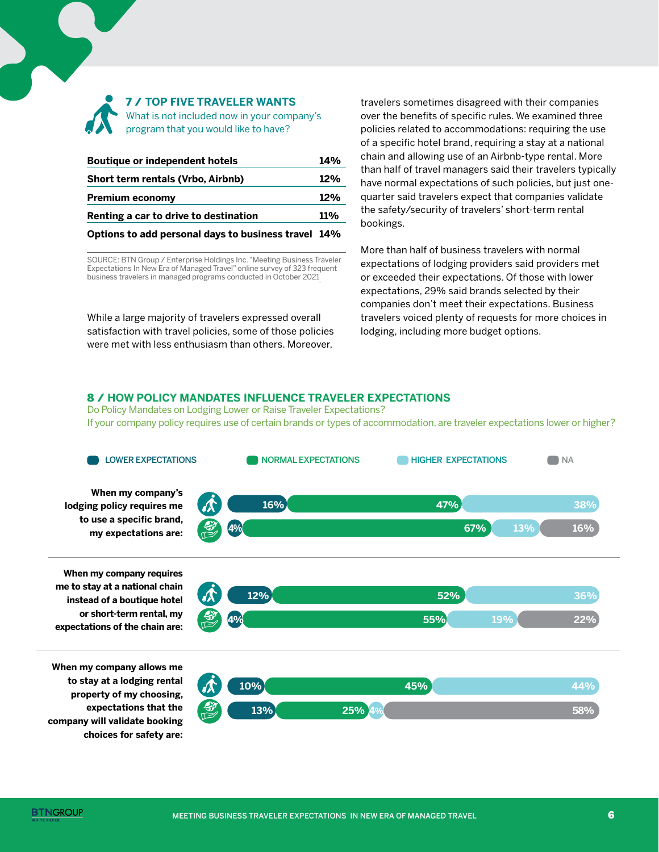

#### 7 / **TOP FIVE TRAVELER WANTS**

What is not included now in your company's program that you would like to have?

| <b>Boutique or independent hotels</b>               |     |
|-----------------------------------------------------|-----|
| Short term rentals (Vrbo, Airbnb)                   | 12% |
| <b>Premium economy</b>                              | 12% |
| Renting a car to drive to destination               |     |
| Options to add personal days to business travel 14% |     |

SOURCE: BTN Group / Enterprise Holdings Inc. "Meeting Business Traveler Expectations In New Era of Managed Travel" online survey of 323 frequent business travelers in managed programs conducted in October 2021

While a large majority of travelers expressed overall satisfaction with travel policies, some of those policies were met with less enthusiasm than others. Moreover,

travelers sometimes disagreed with their companies over the benefits of specific rules. We examined three policies related to accommodations: requiring the use of a specific hotel brand, requiring a stay at a national chain and allowing use of an Airbnb-type rental. More than half of travel managers said their travelers typically have normal expectations of such policies, but just onequarter said travelers expect that companies validate the safety/security of travelers' short-term rental bookings.

More than half of business travelers with normal expectations of lodging providers said providers met or exceeded their expectations. Of those with lower expectations, 29% said brands selected by their companies don't meet their expectations. Business travelers voiced plenty of requests for more choices in lodging, including more budget options.

#### 8 / **HOW POLICY MANDATES INFLUENCE TRAVELER EXPECTATIONS**

Do Policy Mandates on Lodging Lower or Raise Traveler Expectations? If your company policy requires use of certain brands or types of accommodation, are traveler expectations lower or higher?

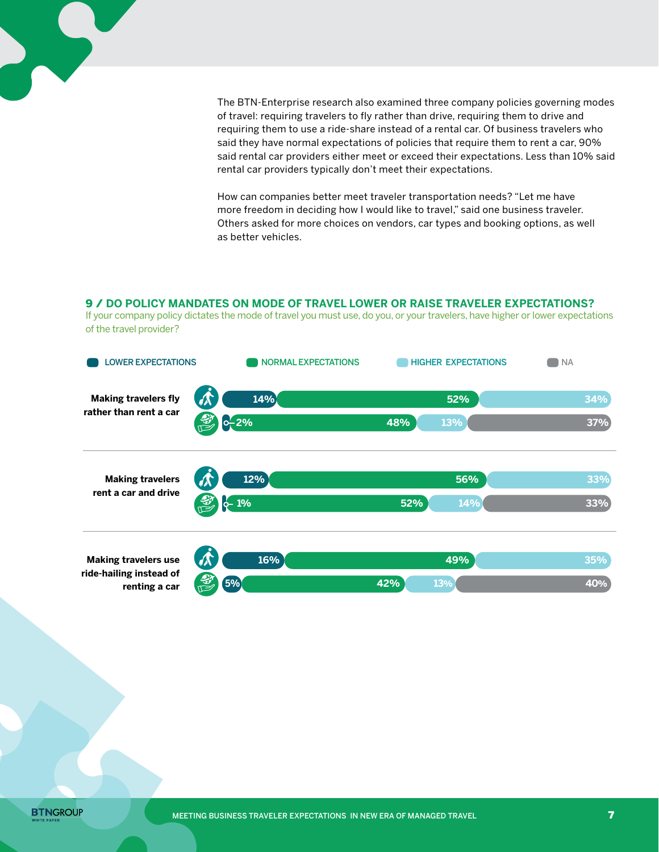

The BTN-Enterprise research also examined three company policies governing modes of travel: requiring travelers to fly rather than drive, requiring them to drive and requiring them to use a ride-share instead of a rental car. Of business travelers who said they have normal expectations of policies that require them to rent a car, 90% said rental car providers either meet or exceed their expectations. Less than 10% said rental car providers typically don't meet their expectations.

How can companies better meet traveler transportation needs? "Let me have more freedom in deciding how I would like to travel," said one business traveler. Others asked for more choices on vendors, car types and booking options, as well as better vehicles.

### 9 / **DO POLICY MANDATES ON MODE OF TRAVEL LOWER OR RAISE TRAVELER EXPECTATIONS?**

If your company policy dictates the mode of travel you must use, do you, or your travelers, have higher or lower expectations of the travel provider?



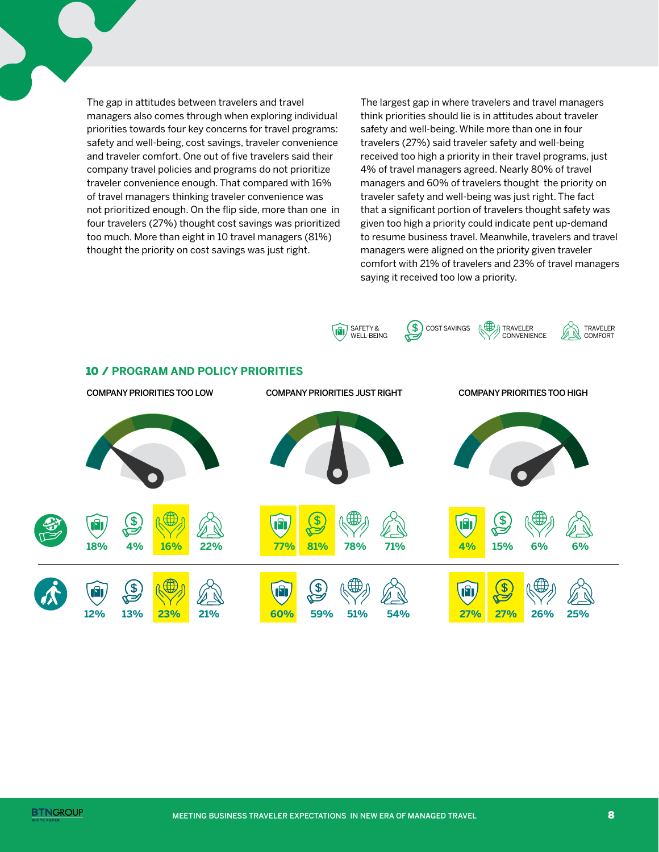The gap in attitudes between travelers and travel managers also comes through when exploring individual priorities towards four key concerns for travel programs: safety and well-being, cost savings, traveler convenience and traveler comfort. One out of five travelers said their company travel policies and programs do not prioritize traveler convenience enough. That compared with 16% of travel managers thinking traveler convenience was not prioritized enough. On the flip side, more than one in four travelers (27%) thought cost savings was prioritized too much. More than eight in 10 travel managers (81%) thought the priority on cost savings was just right.

The largest gap in where travelers and travel managers think priorities should lie is in attitudes about traveler safety and well-being. While more than one in four travelers (27%) said traveler safety and well-being received too high a priority in their travel programs, just 4% of travel managers agreed. Nearly 80% of travel managers and 60% of travelers thought the priority on traveler safety and well-being was just right. The fact that a significant portion of travelers thought safety was given too high a priority could indicate pent up-demand to resume business travel. Meanwhile, travelers and travel managers were aligned on the priority given traveler comfort with 21% of travelers and 23% of travel managers saying it received too low a priority.

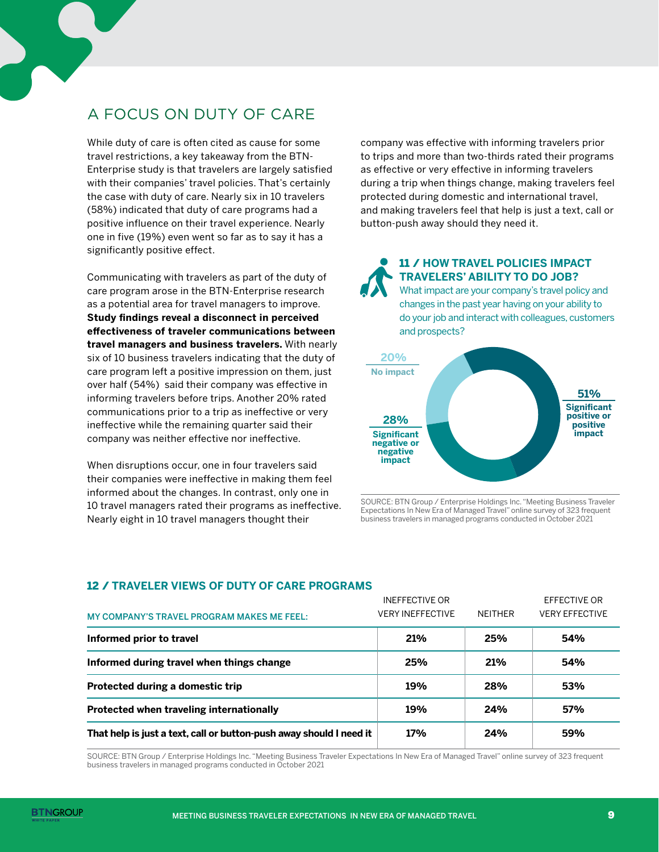# A FOCUS ON DUTY OF CARE

While duty of care is often cited as cause for some travel restrictions, a key takeaway from the BTN-Enterprise study is that travelers are largely satisfied with their companies' travel policies. That's certainly the case with duty of care. Nearly six in 10 travelers (58%) indicated that duty of care programs had a positive influence on their travel experience. Nearly one in five (19%) even went so far as to say it has a significantly positive effect.

Communicating with travelers as part of the duty of care program arose in the BTN-Enterprise research as a potential area for travel managers to improve. **Study findings reveal a disconnect in perceived effectiveness of traveler communications between travel managers and business travelers.** With nearly six of 10 business travelers indicating that the duty of care program left a positive impression on them, just over half (54%) said their company was effective in informing travelers before trips. Another 20% rated communications prior to a trip as ineffective or very ineffective while the remaining quarter said their company was neither effective nor ineffective.

When disruptions occur, one in four travelers said their companies were ineffective in making them feel informed about the changes. In contrast, only one in 10 travel managers rated their programs as ineffective. Nearly eight in 10 travel managers thought their

company was effective with informing travelers prior to trips and more than two-thirds rated their programs as effective or very effective in informing travelers during a trip when things change, making travelers feel protected during domestic and international travel, and making travelers feel that help is just a text, call or button-push away should they need it.

### 11 / **HOW TRAVEL POLICIES IMPACT TRAVELERS' ABILITY TO DO JOB?**

What impact are your company's travel policy and changes in the past year having on your ability to do your job and interact with colleagues, customers and prospects?



SOURCE: BTN Group / Enterprise Holdings Inc. "Meeting Business Traveler Expectations In New Era of Managed Travel" online survey of 323 frequent business travelers in managed programs conducted in October 2021

### 12 / **TRAVELER VIEWS OF DUTY OF CARE PROGRAMS**

| <b>MY COMPANY'S TRAVEL PROGRAM MAKES ME FEEL:</b>                   | <b>INEFFECTIVE OR</b><br><b>VERY INEFFECTIVE</b> | <b>NFITHER</b> | EFFECTIVE OR<br><b>VERY EFFECTIVE</b> |
|---------------------------------------------------------------------|--------------------------------------------------|----------------|---------------------------------------|
| Informed prior to travel                                            | 21%                                              | 25%            | 54%                                   |
| Informed during travel when things change                           | 25%                                              | 21%            | 54%                                   |
| Protected during a domestic trip                                    | 19%                                              | 28%            | 53%                                   |
| Protected when traveling internationally                            | 19%                                              | 24%            | 57%                                   |
| That help is just a text, call or button-push away should I need it | 17%                                              | 24%            | 59%                                   |

SOURCE: BTN Group / Enterprise Holdings Inc. "Meeting Business Traveler Expectations In New Era of Managed Travel" online survey of 323 frequent business travelers in managed programs conducted in October 2021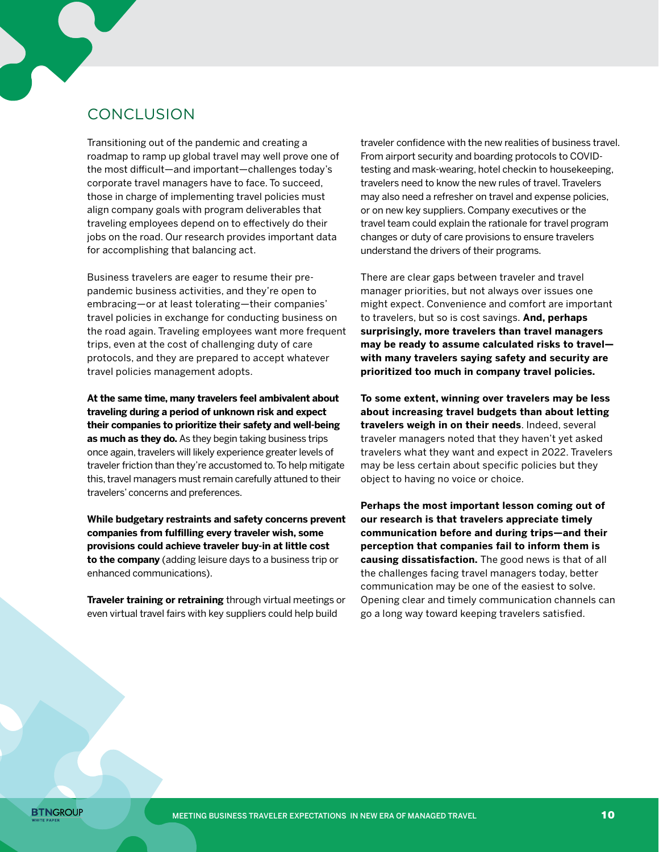# **CONCLUSION**

Transitioning out of the pandemic and creating a roadmap to ramp up global travel may well prove one of the most difficult—and important—challenges today's corporate travel managers have to face. To succeed, those in charge of implementing travel policies must align company goals with program deliverables that traveling employees depend on to effectively do their jobs on the road. Our research provides important data for accomplishing that balancing act.

Business travelers are eager to resume their prepandemic business activities, and they're open to embracing—or at least tolerating—their companies' travel policies in exchange for conducting business on the road again. Traveling employees want more frequent trips, even at the cost of challenging duty of care protocols, and they are prepared to accept whatever travel policies management adopts.

**At the same time, many travelers feel ambivalent about traveling during a period of unknown risk and expect their companies to prioritize their safety and well-being as much as they do.** As they begin taking business trips once again, travelers will likely experience greater levels of traveler friction than they're accustomed to. To help mitigate this, travel managers must remain carefully attuned to their travelers' concerns and preferences.

**While budgetary restraints and safety concerns prevent companies from fulfilling every traveler wish, some provisions could achieve traveler buy-in at little cost to the company** (adding leisure days to a business trip or enhanced communications).

**Traveler training or retraining** through virtual meetings or even virtual travel fairs with key suppliers could help build

traveler confidence with the new realities of business travel. From airport security and boarding protocols to COVIDtesting and mask-wearing, hotel checkin to housekeeping, travelers need to know the new rules of travel. Travelers may also need a refresher on travel and expense policies, or on new key suppliers. Company executives or the travel team could explain the rationale for travel program changes or duty of care provisions to ensure travelers understand the drivers of their programs.

There are clear gaps between traveler and travel manager priorities, but not always over issues one might expect. Convenience and comfort are important to travelers, but so is cost savings. **And, perhaps surprisingly, more travelers than travel managers may be ready to assume calculated risks to travel with many travelers saying safety and security are prioritized too much in company travel policies.** 

**To some extent, winning over travelers may be less about increasing travel budgets than about letting travelers weigh in on their needs**. Indeed, several traveler managers noted that they haven't yet asked travelers what they want and expect in 2022. Travelers may be less certain about specific policies but they object to having no voice or choice.

**Perhaps the most important lesson coming out of our research is that travelers appreciate timely communication before and during trips—and their perception that companies fail to inform them is causing dissatisfaction.** The good news is that of all the challenges facing travel managers today, better communication may be one of the easiest to solve. Opening clear and timely communication channels can go a long way toward keeping travelers satisfied.